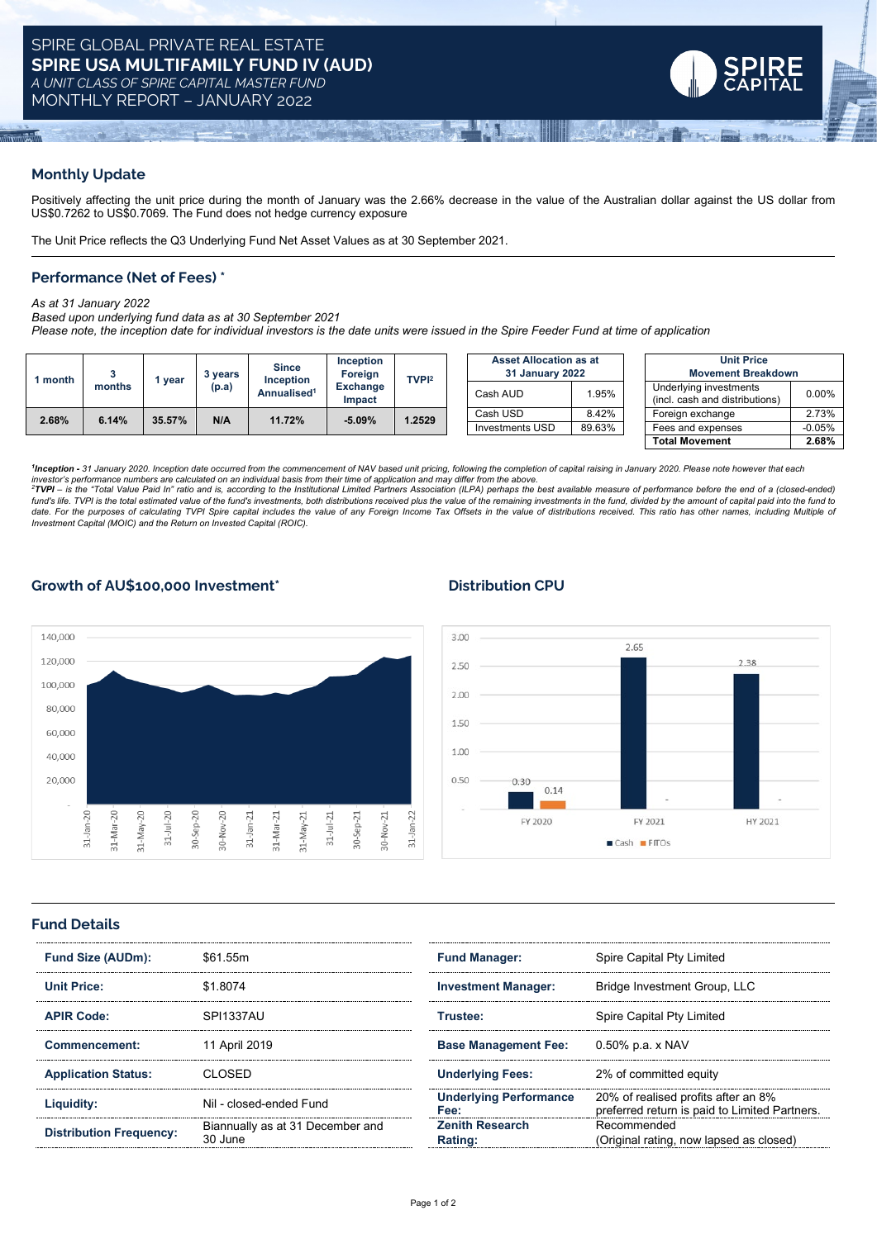

# **Monthly Update**

Positively affecting the unit price during the month of January was the 2.66% decrease in the value of the Australian dollar against the US dollar from US\$0.7262 to US\$0.7069. The Fund does not hedge currency exposure

The Unit Price reflects the Q3 Underlying Fund Net Asset Values as at 30 September 2021.

### **Performance (Net of Fees) \***

*As at 31 January 2022*

#### *Based upon underlying fund data as at 30 September 2021*

Please note, the inception date for individual investors is the date units were issued in the Spire Feeder Fund at time of application

| l month | months | vear   | 3 years<br>(p.a) | <b>Since</b><br><b>Inception</b><br>Annualised <sup>1</sup> | <b>Inception</b><br>Foreign<br>Exchange<br>Impact | TVPI <sup>2</sup> | <b>Asset Allocation as at</b><br>31 January 2022 |        | <b>Unit Price</b><br><b>Movement Breakdown</b>           |          |
|---------|--------|--------|------------------|-------------------------------------------------------------|---------------------------------------------------|-------------------|--------------------------------------------------|--------|----------------------------------------------------------|----------|
|         |        |        |                  |                                                             |                                                   |                   | Cash AUD                                         | 1.95%  | Underlying investments<br>(incl. cash and distributions) | $0.00\%$ |
| 2.68%   | 6.14%  | 35.57% | N/A              | 11.72%                                                      | $-5.09%$                                          | 1.2529            | Cash USD                                         | 8.42%  | Foreign exchange                                         | 2.73%    |
|         |        |        |                  |                                                             |                                                   |                   | <b>Investments USD</b>                           | 89.63% | Fees and expenses                                        | $-0.05%$ |
|         |        |        |                  |                                                             |                                                   |                   |                                                  |        | <b>Total Movement</b>                                    | 2.68%    |

<sup>1</sup>Inception - 31 January 2020. Inception date occurred from the commencement of NAV based unit pricing, following the completion of capital raising in January 2020. Please note however that each<br>investor's performance num

<sup>2</sup>TVPI - is the "Total Value Paid In" ratio and is, according to the Institutional Limited Partners Association (ILPA) perhaps the best available measure of performance before the end of a (closed-ended) fund's life. TVPI is the total estimated value of the fund's investments, both distributions received plus the value of the remaining investments in the fund, divided by the amount of capital paid into the fund to date. For the purposes of calculating TVPI Spire capital includes the value of any Foreign Income Tax Offsets in the value of distributions received. This ratio has other names, including Multiple of *Investment Capital (MOIC) and the Return on Invested Capital (ROIC).*

# **Growth of AU\$100,000 Investment\* Distribution CPU**





#### **Fund Details**

| <b>Fund Size (AUDm):</b>       | \$61.55m                                    | <b>Fund Manager:</b>           | Spire Capital Pty Limited<br>Bridge Investment Group, LLC                           |  |
|--------------------------------|---------------------------------------------|--------------------------------|-------------------------------------------------------------------------------------|--|
| Unit Price:                    | \$1,8074                                    | <b>Investment Manager:</b>     |                                                                                     |  |
| <b>APIR Code:</b>              | SPI1337AU                                   | Trustee:                       | Spire Capital Pty Limited                                                           |  |
| Commencement:                  | 11 April 2019                               | <b>Base Management Fee:</b>    | 0.50% p.a. x NAV                                                                    |  |
| <b>Application Status:</b>     | N OSED                                      | <b>Underlying Fees:</b>        | 2% of committed equity                                                              |  |
| Liquidity:                     | Nil - closed-ended Fund                     | Underlving Performance<br>Fee: | 20% of realised profits after an 8%<br>preferred return is paid to Limited Partners |  |
| <b>Distribution Frequency:</b> | Biannually as at 31 December and<br>30 June | Zenith Research<br>Rating:     | Recommended<br>(Original rating, now lapsed as closed)                              |  |